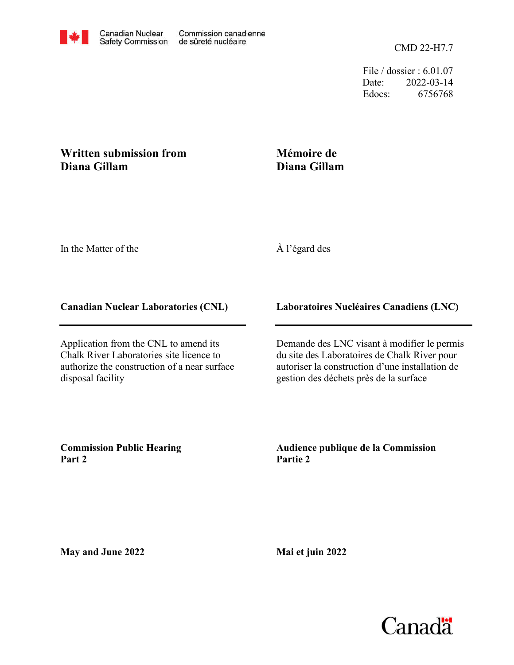File / dossier : 6.01.07 Date: 2022-03-14 Edocs: 6756768

## **Written submission from Diana Gillam**

## **Mémoire de Diana Gillam**

In the Matter of the

## À l'égard des

## **Canadian Nuclear Laboratories (CNL)**

Application from the CNL to amend its Chalk River Laboratories site licence to authorize the construction of a near surface disposal facility

**Laboratoires Nucléaires Canadiens (LNC)**

Demande des LNC visant à modifier le permis du site des Laboratoires de Chalk River pour autoriser la construction d'une installation de gestion des déchets près de la surface

**Commission Public Hearing Part 2**

**Audience publique de la Commission Partie 2**

**May and June 2022**

**Mai et juin 2022**